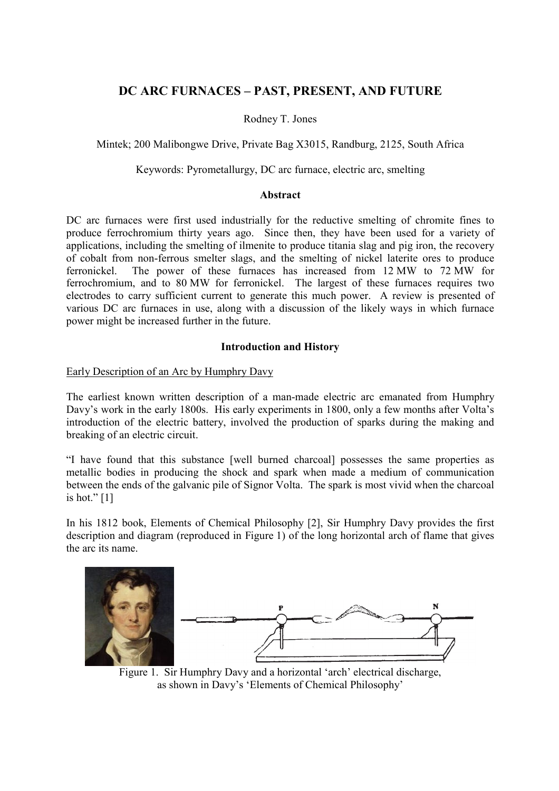# **DC ARC FURNACES – PAST, PRESENT, AND FUTURE**

# Rodney T. Jones

## Mintek; 200 Malibongwe Drive, Private Bag X3015, Randburg, 2125, South Africa

Keywords: Pyrometallurgy, DC arc furnace, electric arc, smelting

#### **Abstract**

DC arc furnaces were first used industrially for the reductive smelting of chromite fines to produce ferrochromium thirty years ago. Since then, they have been used for a variety of applications, including the smelting of ilmenite to produce titania slag and pig iron, the recovery of cobalt from non-ferrous smelter slags, and the smelting of nickel laterite ores to produce ferronickel. The power of these furnaces has increased from 12 MW to 72 MW for ferrochromium, and to 80 MW for ferronickel. The largest of these furnaces requires two electrodes to carry sufficient current to generate this much power. A review is presented of various DC arc furnaces in use, along with a discussion of the likely ways in which furnace power might be increased further in the future.

## **Introduction and History**

## Early Description of an Arc by Humphry Davy

The earliest known written description of a man-made electric arc emanated from Humphry Davy's work in the early 1800s. His early experiments in 1800, only a few months after Volta's introduction of the electric battery, involved the production of sparks during the making and breaking of an electric circuit.

"I have found that this substance [well burned charcoal] possesses the same properties as metallic bodies in producing the shock and spark when made a medium of communication between the ends of the galvanic pile of Signor Volta. The spark is most vivid when the charcoal is hot." $[1]$ 

In his 1812 book, Elements of Chemical Philosophy [2], Sir Humphry Davy provides the first description and diagram (reproduced in Figure 1) of the long horizontal arch of flame that gives the arc its name.



Figure 1. Sir Humphry Davy and a horizontal 'arch' electrical discharge, as shown in Davy's 'Elements of Chemical Philosophy'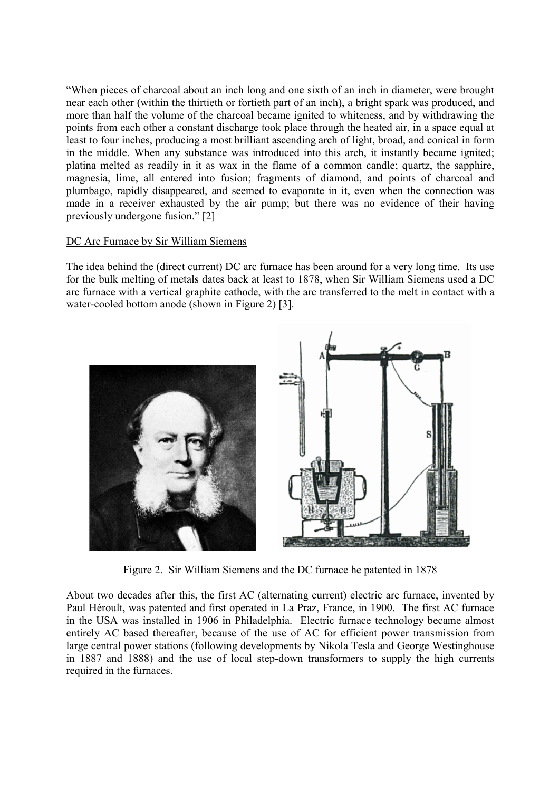"When pieces of charcoal about an inch long and one sixth of an inch in diameter, were brought near each other (within the thirtieth or fortieth part of an inch), a bright spark was produced, and more than half the volume of the charcoal became ignited to whiteness, and by withdrawing the points from each other a constant discharge took place through the heated air, in a space equal at least to four inches, producing a most brilliant ascending arch of light, broad, and conical in form in the middle. When any substance was introduced into this arch, it instantly became ignited; platina melted as readily in it as wax in the flame of a common candle; quartz, the sapphire, magnesia, lime, all entered into fusion; fragments of diamond, and points of charcoal and plumbago, rapidly disappeared, and seemed to evaporate in it, even when the connection was made in a receiver exhausted by the air pump; but there was no evidence of their having previously undergone fusion." [2]

## DC Arc Furnace by Sir William Siemens

The idea behind the (direct current) DC arc furnace has been around for a very long time. Its use for the bulk melting of metals dates back at least to 1878, when Sir William Siemens used a DC arc furnace with a vertical graphite cathode, with the arc transferred to the melt in contact with a water-cooled bottom anode (shown in Figure 2) [3].



Figure 2. Sir William Siemens and the DC furnace he patented in 1878

About two decades after this, the first AC (alternating current) electric arc furnace, invented by Paul Héroult, was patented and first operated in La Praz, France, in 1900. The first AC furnace in the USA was installed in 1906 in Philadelphia. Electric furnace technology became almost entirely AC based thereafter, because of the use of AC for efficient power transmission from large central power stations (following developments by Nikola Tesla and George Westinghouse in 1887 and 1888) and the use of local step-down transformers to supply the high currents required in the furnaces.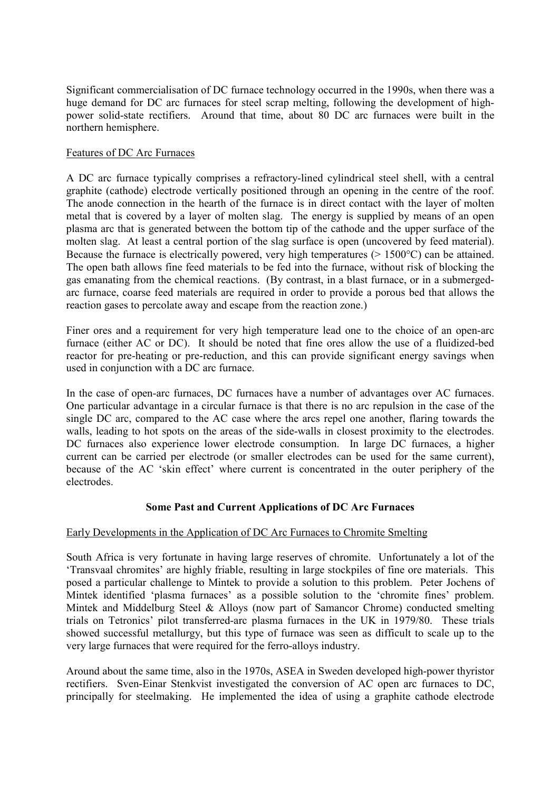Significant commercialisation of DC furnace technology occurred in the 1990s, when there was a huge demand for DC arc furnaces for steel scrap melting, following the development of highpower solid-state rectifiers. Around that time, about 80 DC arc furnaces were built in the northern hemisphere.

## Features of DC Arc Furnaces

A DC arc furnace typically comprises a refractory-lined cylindrical steel shell, with a central graphite (cathode) electrode vertically positioned through an opening in the centre of the roof. The anode connection in the hearth of the furnace is in direct contact with the layer of molten metal that is covered by a layer of molten slag. The energy is supplied by means of an open plasma arc that is generated between the bottom tip of the cathode and the upper surface of the molten slag. At least a central portion of the slag surface is open (uncovered by feed material). Because the furnace is electrically powered, very high temperatures ( $> 1500^{\circ}$ C) can be attained. The open bath allows fine feed materials to be fed into the furnace, without risk of blocking the gas emanating from the chemical reactions. (By contrast, in a blast furnace, or in a submergedarc furnace, coarse feed materials are required in order to provide a porous bed that allows the reaction gases to percolate away and escape from the reaction zone.)

Finer ores and a requirement for very high temperature lead one to the choice of an open-arc furnace (either AC or DC). It should be noted that fine ores allow the use of a fluidized-bed reactor for pre-heating or pre-reduction, and this can provide significant energy savings when used in conjunction with a DC arc furnace.

In the case of open-arc furnaces, DC furnaces have a number of advantages over AC furnaces. One particular advantage in a circular furnace is that there is no arc repulsion in the case of the single DC arc, compared to the AC case where the arcs repel one another, flaring towards the walls, leading to hot spots on the areas of the side-walls in closest proximity to the electrodes. DC furnaces also experience lower electrode consumption. In large DC furnaces, a higher current can be carried per electrode (or smaller electrodes can be used for the same current), because of the AC 'skin effect' where current is concentrated in the outer periphery of the electrodes.

# **Some Past and Current Applications of DC Arc Furnaces**

## Early Developments in the Application of DC Arc Furnaces to Chromite Smelting

South Africa is very fortunate in having large reserves of chromite. Unfortunately a lot of the 'Transvaal chromites' are highly friable, resulting in large stockpiles of fine ore materials. This posed a particular challenge to Mintek to provide a solution to this problem. Peter Jochens of Mintek identified 'plasma furnaces' as a possible solution to the 'chromite fines' problem. Mintek and Middelburg Steel & Alloys (now part of Samancor Chrome) conducted smelting trials on Tetronics' pilot transferred-arc plasma furnaces in the UK in 1979/80. These trials showed successful metallurgy, but this type of furnace was seen as difficult to scale up to the very large furnaces that were required for the ferro-alloys industry.

Around about the same time, also in the 1970s, ASEA in Sweden developed high-power thyristor rectifiers. Sven-Einar Stenkvist investigated the conversion of AC open arc furnaces to DC, principally for steelmaking. He implemented the idea of using a graphite cathode electrode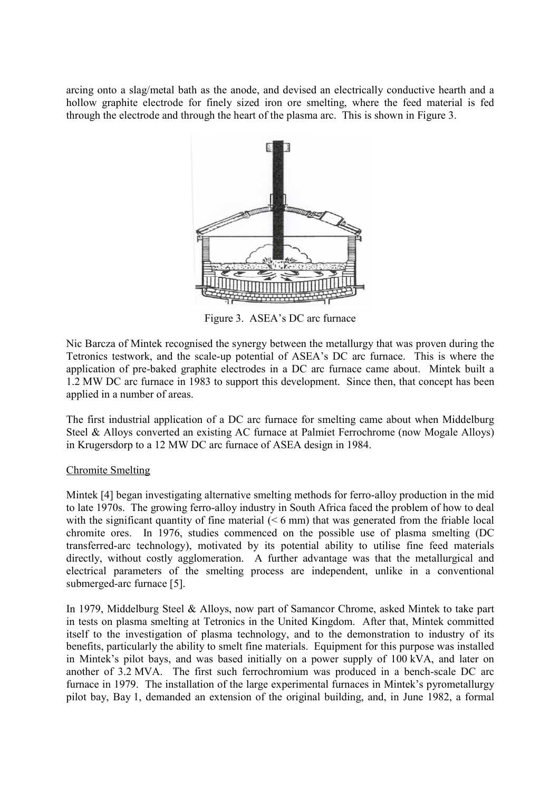arcing onto a slag/metal bath as the anode, and devised an electrically conductive hearth and a hollow graphite electrode for finely sized iron ore smelting, where the feed material is fed through the electrode and through the heart of the plasma arc. This is shown in Figure 3.



Figure 3. ASEA's DC arc furnace

Nic Barcza of Mintek recognised the synergy between the metallurgy that was proven during the Tetronics testwork, and the scale-up potential of ASEA's DC arc furnace. This is where the application of pre-baked graphite electrodes in a DC arc furnace came about. Mintek built a 1.2 MW DC arc furnace in 1983 to support this development. Since then, that concept has been applied in a number of areas.

The first industrial application of a DC arc furnace for smelting came about when Middelburg Steel & Alloys converted an existing AC furnace at Palmiet Ferrochrome (now Mogale Alloys) in Krugersdorp to a 12 MW DC arc furnace of ASEA design in 1984.

## Chromite Smelting

Mintek [4] began investigating alternative smelting methods for ferro-alloy production in the mid to late 1970s. The growing ferro-alloy industry in South Africa faced the problem of how to deal with the significant quantity of fine material  $(< 6$  mm) that was generated from the friable local chromite ores. In 1976, studies commenced on the possible use of plasma smelting (DC transferred-arc technology), motivated by its potential ability to utilise fine feed materials directly, without costly agglomeration. A further advantage was that the metallurgical and electrical parameters of the smelting process are independent, unlike in a conventional submerged-arc furnace [5].

In 1979, Middelburg Steel & Alloys, now part of Samancor Chrome, asked Mintek to take part in tests on plasma smelting at Tetronics in the United Kingdom. After that, Mintek committed itself to the investigation of plasma technology, and to the demonstration to industry of its benefits, particularly the ability to smelt fine materials. Equipment for this purpose was installed in Mintek's pilot bays, and was based initially on a power supply of 100 kVA, and later on another of 3.2 MVA. The first such ferrochromium was produced in a bench-scale DC arc furnace in 1979. The installation of the large experimental furnaces in Mintek's pyrometallurgy pilot bay, Bay 1, demanded an extension of the original building, and, in June 1982, a formal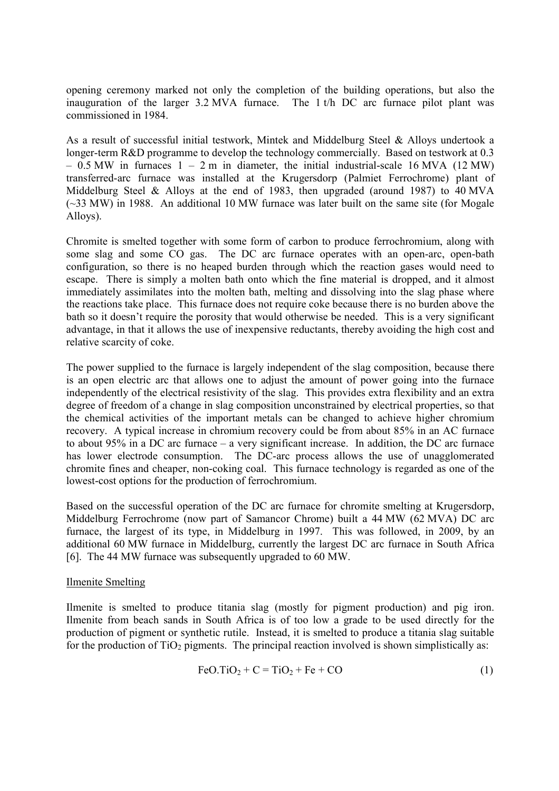opening ceremony marked not only the completion of the building operations, but also the inauguration of the larger 3.2 MVA furnace. The 1 t/h DC arc furnace pilot plant was commissioned in 1984.

As a result of successful initial testwork, Mintek and Middelburg Steel & Alloys undertook a longer-term R&D programme to develop the technology commercially. Based on testwork at 0.3  $-0.5$  MW in furnaces  $1 - 2$  m in diameter, the initial industrial-scale 16 MVA (12 MW) transferred-arc furnace was installed at the Krugersdorp (Palmiet Ferrochrome) plant of Middelburg Steel & Alloys at the end of 1983, then upgraded (around 1987) to 40 MVA (~33 MW) in 1988. An additional 10 MW furnace was later built on the same site (for Mogale Alloys).

Chromite is smelted together with some form of carbon to produce ferrochromium, along with some slag and some CO gas. The DC arc furnace operates with an open-arc, open-bath configuration, so there is no heaped burden through which the reaction gases would need to escape. There is simply a molten bath onto which the fine material is dropped, and it almost immediately assimilates into the molten bath, melting and dissolving into the slag phase where the reactions take place. This furnace does not require coke because there is no burden above the bath so it doesn't require the porosity that would otherwise be needed. This is a very significant advantage, in that it allows the use of inexpensive reductants, thereby avoiding the high cost and relative scarcity of coke.

The power supplied to the furnace is largely independent of the slag composition, because there is an open electric arc that allows one to adjust the amount of power going into the furnace independently of the electrical resistivity of the slag. This provides extra flexibility and an extra degree of freedom of a change in slag composition unconstrained by electrical properties, so that the chemical activities of the important metals can be changed to achieve higher chromium recovery. A typical increase in chromium recovery could be from about 85% in an AC furnace to about 95% in a DC arc furnace – a very significant increase. In addition, the DC arc furnace has lower electrode consumption. The DC-arc process allows the use of unagglomerated chromite fines and cheaper, non-coking coal. This furnace technology is regarded as one of the lowest-cost options for the production of ferrochromium.

Based on the successful operation of the DC arc furnace for chromite smelting at Krugersdorp, Middelburg Ferrochrome (now part of Samancor Chrome) built a 44 MW (62 MVA) DC arc furnace, the largest of its type, in Middelburg in 1997. This was followed, in 2009, by an additional 60 MW furnace in Middelburg, currently the largest DC arc furnace in South Africa [6]. The 44 MW furnace was subsequently upgraded to 60 MW.

## Ilmenite Smelting

Ilmenite is smelted to produce titania slag (mostly for pigment production) and pig iron. Ilmenite from beach sands in South Africa is of too low a grade to be used directly for the production of pigment or synthetic rutile. Instead, it is smelted to produce a titania slag suitable for the production of  $TiO<sub>2</sub>$  pigments. The principal reaction involved is shown simplistically as:

$$
FeO.TiO2 + C = TiO2 + Fe + CO
$$
 (1)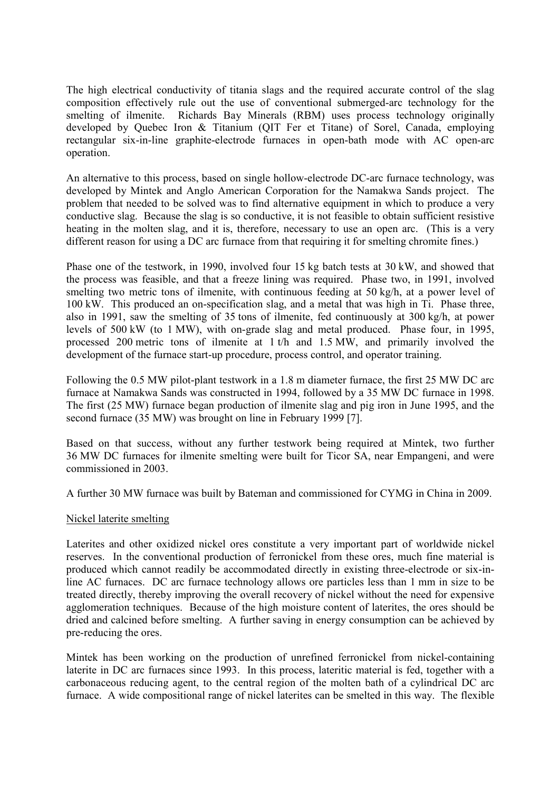The high electrical conductivity of titania slags and the required accurate control of the slag composition effectively rule out the use of conventional submerged-arc technology for the smelting of ilmenite. Richards Bay Minerals (RBM) uses process technology originally developed by Quebec Iron & Titanium (QIT Fer et Titane) of Sorel, Canada, employing rectangular six-in-line graphite-electrode furnaces in open-bath mode with AC open-arc operation.

An alternative to this process, based on single hollow-electrode DC-arc furnace technology, was developed by Mintek and Anglo American Corporation for the Namakwa Sands project. The problem that needed to be solved was to find alternative equipment in which to produce a very conductive slag. Because the slag is so conductive, it is not feasible to obtain sufficient resistive heating in the molten slag, and it is, therefore, necessary to use an open arc. (This is a very different reason for using a DC arc furnace from that requiring it for smelting chromite fines.)

Phase one of the testwork, in 1990, involved four 15 kg batch tests at 30 kW, and showed that the process was feasible, and that a freeze lining was required. Phase two, in 1991, involved smelting two metric tons of ilmenite, with continuous feeding at 50 kg/h, at a power level of 100 kW. This produced an on-specification slag, and a metal that was high in Ti. Phase three, also in 1991, saw the smelting of 35 tons of ilmenite, fed continuously at 300 kg/h, at power levels of 500 kW (to 1 MW), with on-grade slag and metal produced. Phase four, in 1995, processed 200 metric tons of ilmenite at 1 t/h and 1.5 MW, and primarily involved the development of the furnace start-up procedure, process control, and operator training.

Following the 0.5 MW pilot-plant testwork in a 1.8 m diameter furnace, the first 25 MW DC arc furnace at Namakwa Sands was constructed in 1994, followed by a 35 MW DC furnace in 1998. The first (25 MW) furnace began production of ilmenite slag and pig iron in June 1995, and the second furnace (35 MW) was brought on line in February 1999 [7].

Based on that success, without any further testwork being required at Mintek, two further 36 MW DC furnaces for ilmenite smelting were built for Ticor SA, near Empangeni, and were commissioned in 2003.

A further 30 MW furnace was built by Bateman and commissioned for CYMG in China in 2009.

## Nickel laterite smelting

Laterites and other oxidized nickel ores constitute a very important part of worldwide nickel reserves. In the conventional production of ferronickel from these ores, much fine material is produced which cannot readily be accommodated directly in existing three-electrode or six-inline AC furnaces. DC arc furnace technology allows ore particles less than 1 mm in size to be treated directly, thereby improving the overall recovery of nickel without the need for expensive agglomeration techniques. Because of the high moisture content of laterites, the ores should be dried and calcined before smelting. A further saving in energy consumption can be achieved by pre-reducing the ores.

Mintek has been working on the production of unrefined ferronickel from nickel-containing laterite in DC arc furnaces since 1993. In this process, lateritic material is fed, together with a carbonaceous reducing agent, to the central region of the molten bath of a cylindrical DC arc furnace. A wide compositional range of nickel laterites can be smelted in this way. The flexible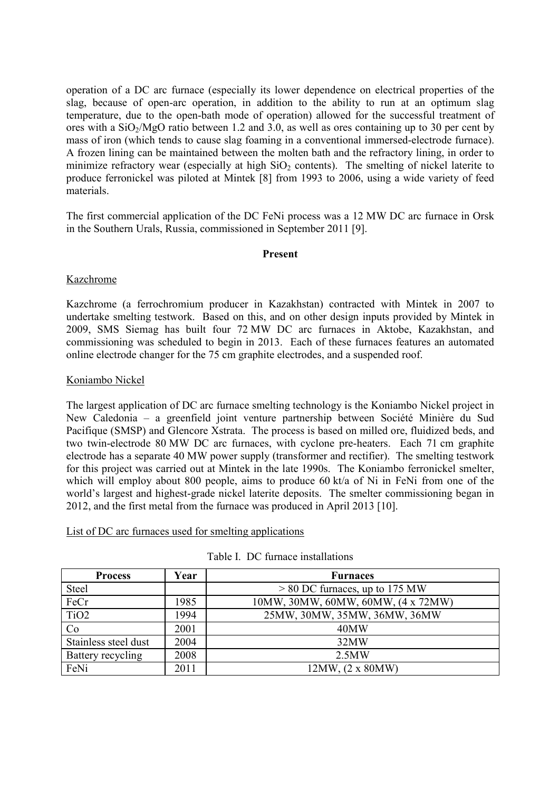operation of a DC arc furnace (especially its lower dependence on electrical properties of the slag, because of open-arc operation, in addition to the ability to run at an optimum slag temperature, due to the open-bath mode of operation) allowed for the successful treatment of ores with a  $SiO<sub>2</sub>/MgO$  ratio between 1.2 and 3.0, as well as ores containing up to 30 per cent by mass of iron (which tends to cause slag foaming in a conventional immersed-electrode furnace). A frozen lining can be maintained between the molten bath and the refractory lining, in order to minimize refractory wear (especially at high  $SiO<sub>2</sub>$  contents). The smelting of nickel laterite to produce ferronickel was piloted at Mintek [8] from 1993 to 2006, using a wide variety of feed materials.

The first commercial application of the DC FeNi process was a 12 MW DC arc furnace in Orsk in the Southern Urals, Russia, commissioned in September 2011 [9].

#### **Present**

## Kazchrome

Kazchrome (a ferrochromium producer in Kazakhstan) contracted with Mintek in 2007 to undertake smelting testwork. Based on this, and on other design inputs provided by Mintek in 2009, SMS Siemag has built four 72 MW DC arc furnaces in Aktobe, Kazakhstan, and commissioning was scheduled to begin in 2013. Each of these furnaces features an automated online electrode changer for the 75 cm graphite electrodes, and a suspended roof.

#### Koniambo Nickel

The largest application of DC arc furnace smelting technology is the Koniambo Nickel project in New Caledonia – a greenfield joint venture partnership between Société Minière du Sud Pacifique (SMSP) and Glencore Xstrata. The process is based on milled ore, fluidized beds, and two twin-electrode 80 MW DC arc furnaces, with cyclone pre-heaters. Each 71 cm graphite electrode has a separate 40 MW power supply (transformer and rectifier). The smelting testwork for this project was carried out at Mintek in the late 1990s. The Koniambo ferronickel smelter, which will employ about 800 people, aims to produce 60 kt/a of Ni in FeNi from one of the world's largest and highest-grade nickel laterite deposits. The smelter commissioning began in 2012, and the first metal from the furnace was produced in April 2013 [10].

#### List of DC arc furnaces used for smelting applications

| <b>Process</b>       | Year | <b>Furnaces</b>                    |
|----------------------|------|------------------------------------|
| <b>Steel</b>         |      | $> 80$ DC furnaces, up to 175 MW   |
| FeCr                 | 1985 | 10MW, 30MW, 60MW, 60MW, (4 x 72MW) |
| TiO <sub>2</sub>     | 1994 | 25MW, 30MW, 35MW, 36MW, 36MW       |
| Co                   | 2001 | 40MW                               |
| Stainless steel dust | 2004 | 32MW                               |
| Battery recycling    | 2008 | 2.5MW                              |
| FeNi                 | 2011 | 12MW, (2 x 80MW)                   |

#### Table I. DC furnace installations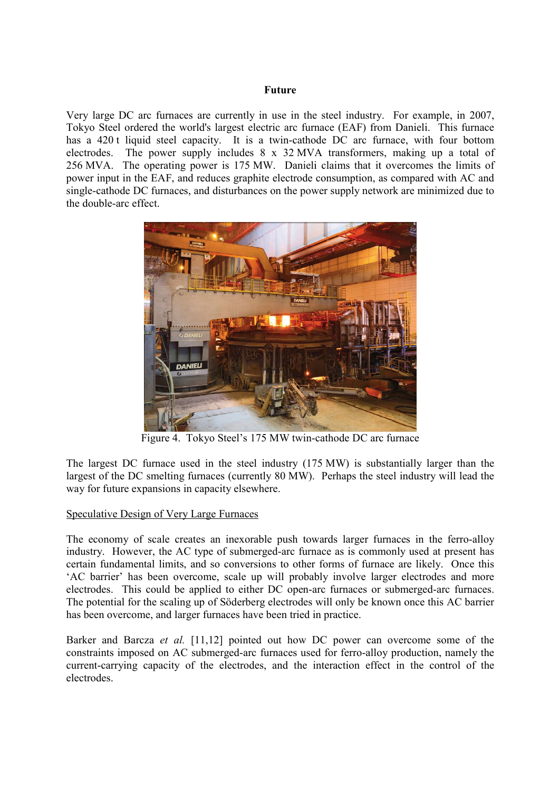#### **Future**

Very large DC arc furnaces are currently in use in the steel industry. For example, in 2007, Tokyo Steel ordered the world's largest electric arc furnace (EAF) from Danieli. This furnace has a 420 t liquid steel capacity. It is a twin-cathode DC arc furnace, with four bottom electrodes. The power supply includes 8 x 32 MVA transformers, making up a total of 256 MVA. The operating power is 175 MW. Danieli claims that it overcomes the limits of power input in the EAF, and reduces graphite electrode consumption, as compared with AC and single-cathode DC furnaces, and disturbances on the power supply network are minimized due to the double-arc effect.



Figure 4. Tokyo Steel's 175 MW twin-cathode DC arc furnace

The largest DC furnace used in the steel industry (175 MW) is substantially larger than the largest of the DC smelting furnaces (currently 80 MW). Perhaps the steel industry will lead the way for future expansions in capacity elsewhere.

## Speculative Design of Very Large Furnaces

The economy of scale creates an inexorable push towards larger furnaces in the ferro-alloy industry. However, the AC type of submerged-arc furnace as is commonly used at present has certain fundamental limits, and so conversions to other forms of furnace are likely. Once this 'AC barrier' has been overcome, scale up will probably involve larger electrodes and more electrodes. This could be applied to either DC open-arc furnaces or submerged-arc furnaces. The potential for the scaling up of Söderberg electrodes will only be known once this AC barrier has been overcome, and larger furnaces have been tried in practice.

Barker and Barcza *et al.* [11,12] pointed out how DC power can overcome some of the constraints imposed on AC submerged-arc furnaces used for ferro-alloy production, namely the current-carrying capacity of the electrodes, and the interaction effect in the control of the electrodes.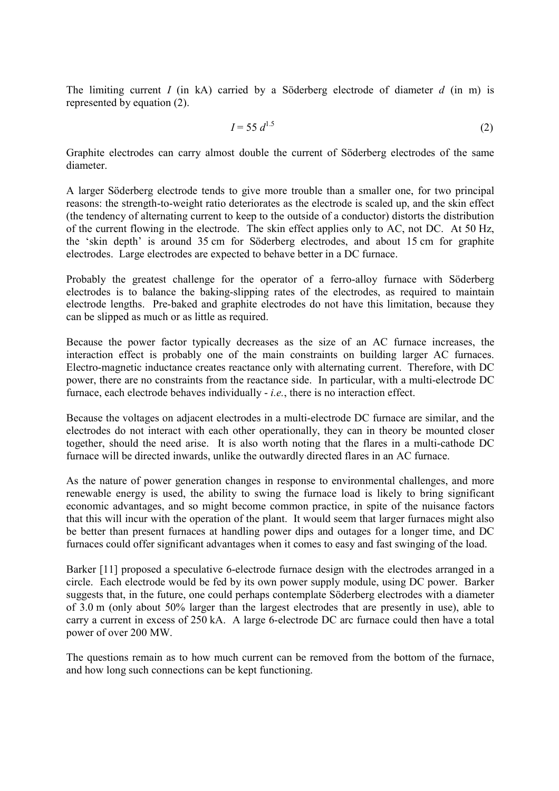The limiting current *I* (in kA) carried by a Söderberg electrode of diameter *d* (in m) is represented by equation (2).

$$
I = 55 \, d^{1.5} \tag{2}
$$

Graphite electrodes can carry almost double the current of Söderberg electrodes of the same diameter.

A larger Söderberg electrode tends to give more trouble than a smaller one, for two principal reasons: the strength-to-weight ratio deteriorates as the electrode is scaled up, and the skin effect (the tendency of alternating current to keep to the outside of a conductor) distorts the distribution of the current flowing in the electrode. The skin effect applies only to AC, not DC. At 50 Hz, the 'skin depth' is around 35 cm for Söderberg electrodes, and about 15 cm for graphite electrodes. Large electrodes are expected to behave better in a DC furnace.

Probably the greatest challenge for the operator of a ferro-alloy furnace with Söderberg electrodes is to balance the baking-slipping rates of the electrodes, as required to maintain electrode lengths. Pre-baked and graphite electrodes do not have this limitation, because they can be slipped as much or as little as required.

Because the power factor typically decreases as the size of an AC furnace increases, the interaction effect is probably one of the main constraints on building larger AC furnaces. Electro-magnetic inductance creates reactance only with alternating current. Therefore, with DC power, there are no constraints from the reactance side. In particular, with a multi-electrode DC furnace, each electrode behaves individually - *i.e.*, there is no interaction effect.

Because the voltages on adjacent electrodes in a multi-electrode DC furnace are similar, and the electrodes do not interact with each other operationally, they can in theory be mounted closer together, should the need arise. It is also worth noting that the flares in a multi-cathode DC furnace will be directed inwards, unlike the outwardly directed flares in an AC furnace.

As the nature of power generation changes in response to environmental challenges, and more renewable energy is used, the ability to swing the furnace load is likely to bring significant economic advantages, and so might become common practice, in spite of the nuisance factors that this will incur with the operation of the plant. It would seem that larger furnaces might also be better than present furnaces at handling power dips and outages for a longer time, and DC furnaces could offer significant advantages when it comes to easy and fast swinging of the load.

Barker [11] proposed a speculative 6-electrode furnace design with the electrodes arranged in a circle. Each electrode would be fed by its own power supply module, using DC power. Barker suggests that, in the future, one could perhaps contemplate Söderberg electrodes with a diameter of 3.0 m (only about 50% larger than the largest electrodes that are presently in use), able to carry a current in excess of 250 kA. A large 6-electrode DC arc furnace could then have a total power of over 200 MW.

The questions remain as to how much current can be removed from the bottom of the furnace, and how long such connections can be kept functioning.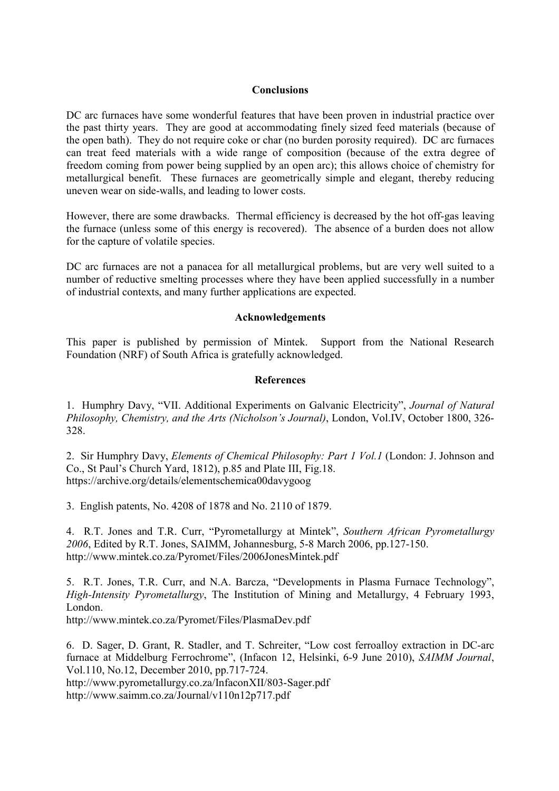## **Conclusions**

DC arc furnaces have some wonderful features that have been proven in industrial practice over the past thirty years. They are good at accommodating finely sized feed materials (because of the open bath). They do not require coke or char (no burden porosity required). DC arc furnaces can treat feed materials with a wide range of composition (because of the extra degree of freedom coming from power being supplied by an open arc); this allows choice of chemistry for metallurgical benefit. These furnaces are geometrically simple and elegant, thereby reducing uneven wear on side-walls, and leading to lower costs.

However, there are some drawbacks. Thermal efficiency is decreased by the hot off-gas leaving the furnace (unless some of this energy is recovered). The absence of a burden does not allow for the capture of volatile species.

DC arc furnaces are not a panacea for all metallurgical problems, but are very well suited to a number of reductive smelting processes where they have been applied successfully in a number of industrial contexts, and many further applications are expected.

#### **Acknowledgements**

This paper is published by permission of Mintek. Support from the National Research Foundation (NRF) of South Africa is gratefully acknowledged.

#### **References**

1. Humphry Davy, "VII. Additional Experiments on Galvanic Electricity", *Journal of Natural Philosophy, Chemistry, and the Arts (Nicholson's Journal)*, London, Vol.IV, October 1800, 326- 328.

2. Sir Humphry Davy, *Elements of Chemical Philosophy: Part 1 Vol.1* (London: J. Johnson and Co., St Paul's Church Yard, 1812), p.85 and Plate III, Fig.18. https://archive.org/details/elementschemica00davygoog

3. English patents, No. 4208 of 1878 and No. 2110 of 1879.

4. R.T. Jones and T.R. Curr, "Pyrometallurgy at Mintek", *Southern African Pyrometallurgy 2006*, Edited by R.T. Jones, SAIMM, Johannesburg, 5-8 March 2006, pp.127-150. http://www.mintek.co.za/Pyromet/Files/2006JonesMintek.pdf

5. R.T. Jones, T.R. Curr, and N.A. Barcza, "Developments in Plasma Furnace Technology", *High-Intensity Pyrometallurgy*, The Institution of Mining and Metallurgy, 4 February 1993, London.

http://www.mintek.co.za/Pyromet/Files/PlasmaDev.pdf

6. D. Sager, D. Grant, R. Stadler, and T. Schreiter, "Low cost ferroalloy extraction in DC-arc furnace at Middelburg Ferrochrome", (Infacon 12, Helsinki, 6-9 June 2010), *SAIMM Journal*, Vol.110, No.12, December 2010, pp.717-724.

http://www.pyrometallurgy.co.za/InfaconXII/803-Sager.pdf

http://www.saimm.co.za/Journal/v110n12p717.pdf